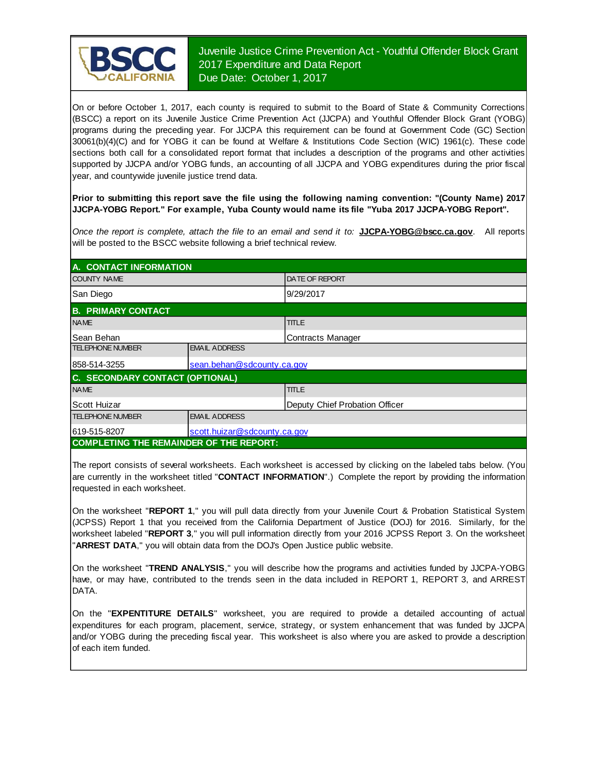

Juvenile Justice Crime Prevention Act - Youthful Offender Block Grant 2017 Expenditure and Data Report Due Date: October 1, 2017

On or before October 1, 2017, each county is required to submit to the Board of State & Community Corrections (BSCC) <sup>a</sup> report on its Juvenile Justice Crime Prevention Act (JJCPA) and Youthful Offender Block Grant (YOBG) programs during the preceding year. For JJCPA this requirement can be found at Government Code (GC) Section 30061(b)(4)(C) and for YOBG it can be found at Welfare & Institutions Code Section (WIC) 1961(c). These code sections both call for <sup>a</sup> consolidated report format that includes <sup>a</sup> description of the programs and other activities supported by JJCPA and/or YOBG funds, an accounting of all JJCPA and YOBG expenditures during the prior fiscal year, and countywide juvenile justice trend data.

**Prior to submitting this report save the file using the following naming convention: "(County Name) 2017 JJCPA-YOBG Report." For example, Yuba County would name its file "Yuba 2017 JJCPA-YOBG Report".**

*Once the report is complete, attach the file t o an email and send it to:* **JJCPA-YOBG@bscc.ca.gov**. All reports will be posted to the BSCC website following a brief technical review.

| A. CONTACT INFORMATION                         |                                |                          |  |
|------------------------------------------------|--------------------------------|--------------------------|--|
| <b>COUNTY NAME</b>                             |                                | <b>IDATE OF REPORT</b>   |  |
| San Diego                                      |                                | 9/29/2017                |  |
| <b>B. PRIMARY CONTACT</b>                      |                                |                          |  |
| <b>NAME</b>                                    |                                | <b>TITLE</b>             |  |
| lSean Behan                                    |                                | <b>Contracts Manager</b> |  |
| <b>TELEPHONE NUMBER</b>                        | <b>EMAIL ADDRESS</b>           |                          |  |
| 858-514-3255                                   | sean.behan@sdcounty.ca.gov     |                          |  |
| C. SECONDARY CONTACT (OPTIONAL)                |                                |                          |  |
| <b>NAME</b>                                    |                                | <b>TITLE</b>             |  |
| Scott Huizar                                   | Deputy Chief Probation Officer |                          |  |
| <b>TELEPHONE NUMBER</b>                        | <b>EMAIL ADDRESS</b>           |                          |  |
| 619-515-8207                                   | scott.huizar@sdcounty.ca.gov   |                          |  |
| <b>COMPLETING THE REMAINDER OF THE REPORT:</b> |                                |                          |  |

The report consists of several worksheets. Each worksheet is accessed by clicking on the labeled tabs below. (You are currently in the worksheet titled "**CONTACT INFORMATION**".) Complete the report by providing the information requested in each worksheet.

On the worksheet "**REPORT 1**, " you will pull data directly from your Juvenile Court & Probation Statistical System (JCPSS) Report 1 that you received from the California Department of Justice (DOJ) for 2016. Similarly, for the worksheet labeled "**REPORT 3**, " you will pull information directly from your 2016 JCPSS Report 3. On the worksheet "**ARREST DATA**," you will obtain data from the DOJ's Open Justice public website.

On the worksheet "**TREND ANALYSIS**, " you will describe how the programs and activities funded by JJCPA-YOBG have, or may have, contributed to the trends seen in the data included in REPORT 1, REPORT 3, and ARREST DATA.

On the "EXPENTITURE DETAILS" worksheet, you are required to provide a detailed accounting of actual expenditures for each program, placement, service, strategy, or system enhancement that was funded by JJCPA and/or YOBG during the preceding fiscal year. This worksheet is also where you are asked to provide a description of each item funded.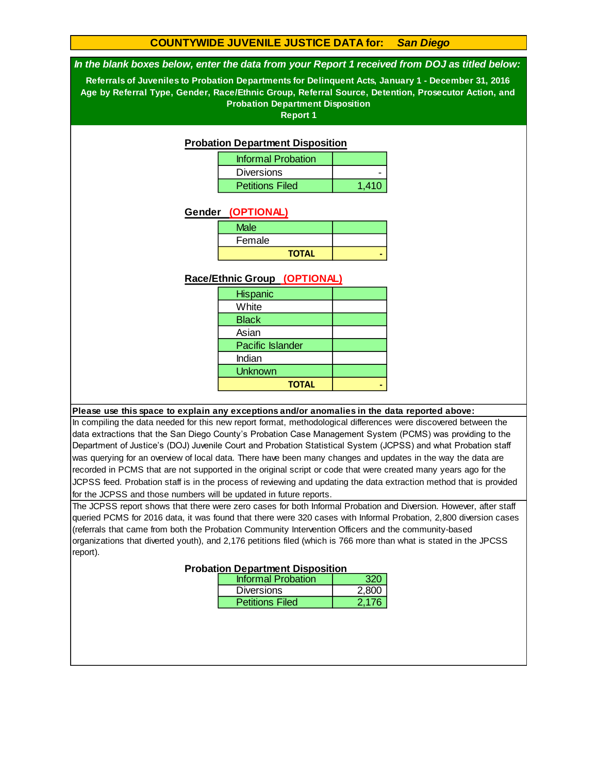#### **COUNTYWIDE JUVENILE JUSTICE DATA for:** *San Diego*

#### *In the blank boxes below, enter the data from your Report 1 received from DOJ as titled below:*

**Referrals of Juveniles to Probation Departments for Delinquent Acts, January 1 - December 31, 2016 Age by Referral Type, Gender, Race/Ethnic Group, Referral Source, Detention, Prosecutor Action, and Probation Department Disposition**

**Report 1**

#### **Probation Department Disposition**

| <b>Informal Probation</b> |       |
|---------------------------|-------|
| <b>Diversions</b>         |       |
| <b>Petitions Filed</b>    | 1.410 |

#### **Gender (OPTIONAL)**

| Male         |  |
|--------------|--|
| Female       |  |
| <b>TOTAL</b> |  |

#### **Race/Ethnic Group (OPTIONAL)**

#### **Please use this space to explain any exceptions and/or anomalies in the data reported above:**

In compiling the data needed for this new report format, methodological differences were discovered between the data extractions that the San Diego County's Probation Case Management System (PCMS) was providing to the Department of Justice's (DOJ) Juvenile Court and Probation Statistical System (JCPSS) and what Probation staff was querying for an overview of local data. There have been many changes and updates in the way the data are recorded in PCMS that are not supported in the original script or code that were created many years ago for the JCPSS feed. Probation staff is in the process of reviewing and updating the data extraction method that is provided for the JCPSS and those numbers will be updated in future reports.

The JCPSS report shows that there were zero cases for both Informal Probation and Diversion. However, after staff queried PCMS for 2016 data, it was found that there were 320 cases with Informal Probation, 2,800 diversion cases (referrals that came from both the Probation Community Intervention Officers and the community-based organizations that diverted youth), and 2,176 petitions filed (which is 766 more than what is stated in the JPCSS report).

| pation Department Disposition |       |
|-------------------------------|-------|
| <b>Informal Probation</b>     | 320   |
| <b>Diversions</b>             | 2,800 |
| <b>Petitions Filed</b>        | 2.176 |

#### **Probati**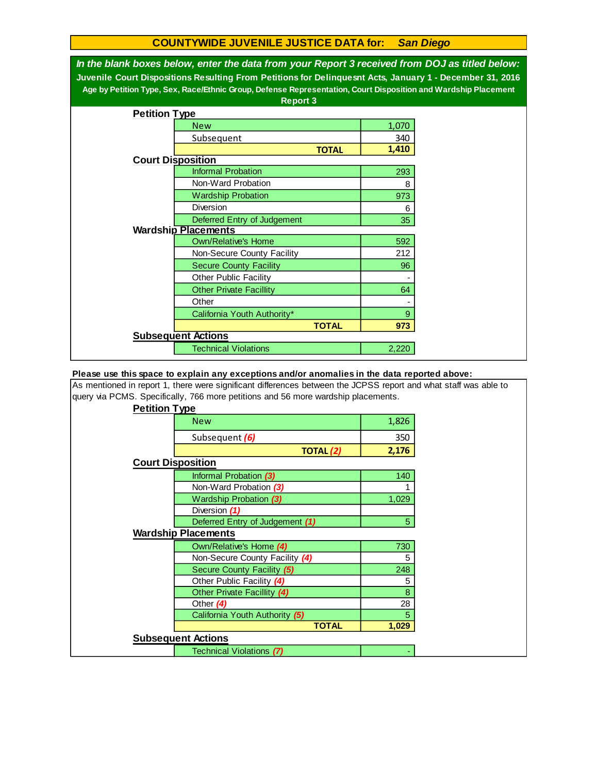#### **COUNTYWIDE JUVENILE JUSTICE DATA for:** *San Diego*

| In the blank boxes below, enter the data from your Report 3 received from DOJ as titled below:<br>Juvenile Court Dispositions Resulting From Petitions for Delinquesnt Acts, January 1 - December 31, 2016<br>Age by Petition Type, Sex, Race/Ethnic Group, Defense Representation, Court Disposition and Wardship Placement<br><b>Report 3</b> |                                |       |  |  |  |
|-------------------------------------------------------------------------------------------------------------------------------------------------------------------------------------------------------------------------------------------------------------------------------------------------------------------------------------------------|--------------------------------|-------|--|--|--|
| <b>Petition Type</b>                                                                                                                                                                                                                                                                                                                            |                                |       |  |  |  |
|                                                                                                                                                                                                                                                                                                                                                 | <b>New</b>                     | 1,070 |  |  |  |
|                                                                                                                                                                                                                                                                                                                                                 | Subsequent                     | 340   |  |  |  |
|                                                                                                                                                                                                                                                                                                                                                 | <b>TOTAL</b>                   | 1,410 |  |  |  |
| <b>Court Disposition</b>                                                                                                                                                                                                                                                                                                                        |                                |       |  |  |  |
|                                                                                                                                                                                                                                                                                                                                                 | <b>Informal Probation</b>      | 293   |  |  |  |
|                                                                                                                                                                                                                                                                                                                                                 | Non-Ward Probation             | 8     |  |  |  |
|                                                                                                                                                                                                                                                                                                                                                 | <b>Wardship Probation</b>      | 973   |  |  |  |
|                                                                                                                                                                                                                                                                                                                                                 | Diversion                      | 6     |  |  |  |
|                                                                                                                                                                                                                                                                                                                                                 | Deferred Entry of Judgement    | 35    |  |  |  |
|                                                                                                                                                                                                                                                                                                                                                 | <b>Wardship Placements</b>     |       |  |  |  |
|                                                                                                                                                                                                                                                                                                                                                 | <b>Own/Relative's Home</b>     | 592   |  |  |  |
|                                                                                                                                                                                                                                                                                                                                                 | Non-Secure County Facility     | 212   |  |  |  |
|                                                                                                                                                                                                                                                                                                                                                 | <b>Secure County Facility</b>  | 96    |  |  |  |
|                                                                                                                                                                                                                                                                                                                                                 | <b>Other Public Facility</b>   |       |  |  |  |
|                                                                                                                                                                                                                                                                                                                                                 | <b>Other Private Facillity</b> | 64    |  |  |  |
|                                                                                                                                                                                                                                                                                                                                                 | Other                          |       |  |  |  |
|                                                                                                                                                                                                                                                                                                                                                 | California Youth Authority*    | 9     |  |  |  |
|                                                                                                                                                                                                                                                                                                                                                 | <b>TOTAL</b>                   | 973   |  |  |  |
|                                                                                                                                                                                                                                                                                                                                                 | <b>Subsequent Actions</b>      |       |  |  |  |
|                                                                                                                                                                                                                                                                                                                                                 | <b>Technical Violations</b>    | 2,220 |  |  |  |

#### **Please use this space to explain any exceptions and/or anomalies in the data reported above:**

As mentioned in report 1, there were significant differences between the JCPSS report and what staff was able to query via PCMS. Specifically, 766 more petitions and 56 more wardship placements.

| <b>Petition Type</b>            |       |
|---------------------------------|-------|
| <b>New</b>                      | 1,826 |
| Subsequent (6)                  | 350   |
| <b>TOTAL (2)</b>                | 2,176 |
| <b>Court Disposition</b>        |       |
| Informal Probation (3)          | 140   |
| Non-Ward Probation (3)          |       |
| <b>Wardship Probation (3)</b>   | 1,029 |
| Diversion (1)                   |       |
| Deferred Entry of Judgement (1) | 5     |
| <b>Wardship Placements</b>      |       |
| Own/Relative's Home (4)         | 730   |
| Non-Secure County Facility (4)  | 5     |
| Secure County Facility (5)      | 248   |
| Other Public Facility (4)       | 5     |
| Other Private Facillity (4)     | 8     |
| Other (4)                       | 28    |
| California Youth Authority (5)  | 5     |
| <b>TOTAL</b>                    | 1,029 |
| <b>Subsequent Actions</b>       |       |
| <b>Technical Violations (7)</b> |       |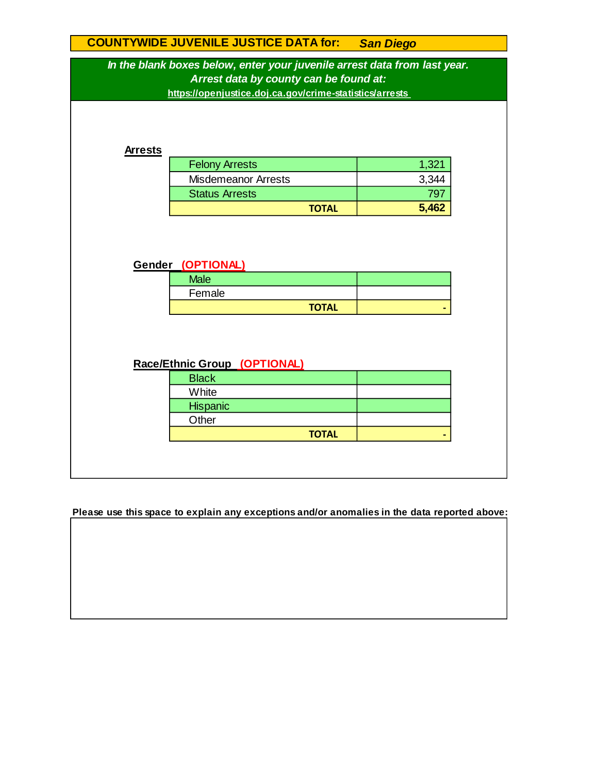# **Race/Ethnic Group (OPTIONAL) COUNTYWIDE JUVENILE JUSTICE DATA for:** *San Diego* **Hispanic TOTAL 5,462 Gender (OPTIONAL) Male** Female Felony Arrests 1,321 Misdemeanor Arrests *In the blank boxes below, enter your juvenile arrest data from last year. Arrest data by county can be found at:* **Other https://openjustice.doj.ca.gov/crime-statistics/arrests**  3,344 Status Arrests **797 Arrests TOTAL - TOTAL - Black White**

**Please use this space to explain any exceptions and/or anomalies in the data reported above:**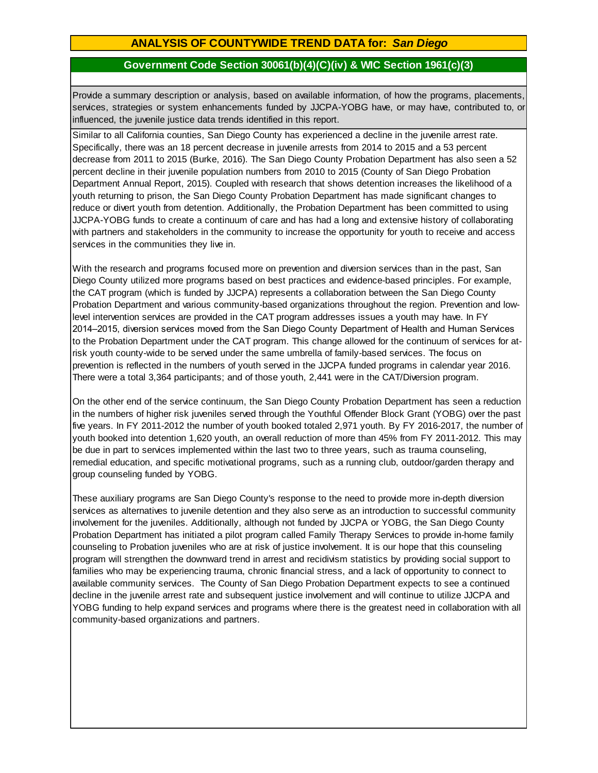### **ANALYSIS OF COUNTYWIDE TREND DATA for:** *San Diego*

### **Government Code Section 30061(b)(4)(C)(iv) & WIC Section 1961(c)(3)**

Provide <sup>a</sup> summary description or analysis, based on available information, of how the programs, placements, services, strategies or system enhancements funded by JJCPA-YOBG have, or may have, contributed to, or influenced, the juvenile justice data trends identified in this report.

Similar to all California counties, San Diego County has experienced a decline in the juvenile arrest rate. Specifically, there was an 18 percent decrease in juvenile arrests from 2014 to 2015 and a 53 percent decrease from 2011 to 2015 (Burke, 2016). The San Diego County Probation Department has also seen a 52 percent decline in their juvenile population numbers from 2010 to 2015 (County of San Diego Probation Department Annual Report, 2015). Coupled with research that shows detention increases the likelihood of a youth returning to prison, the San Diego County Probation Department has made significant changes to reduce or divert youth from detention. Additionally, the Probation Department has been committed to using JJCPA-YOBG funds to create a continuum of care and has had a long and extensive history of collaborating with partners and stakeholders in the community to increase the opportunity for youth to receive and access services in the communities they live in.

With the research and programs focused more on prevention and diversion services than in the past, San Diego County utilized more programs based on best practices and evidence-based principles. For example, the CAT program (which is funded by JJCPA) represents a collaboration between the San Diego County Probation Department and various community-based organizations throughout the region. Prevention and lowlevel intervention services are provided in the CAT program addresses issues a youth may have. In FY 2014–2015, diversion services moved from the San Diego County Department of Health and Human Services to the Probation Department under the CAT program. This change allowed for the continuum of services for atrisk youth county-wide to be served under the same umbrella of family-based services. The focus on prevention is reflected in the numbers of youth served in the JJCPA funded programs in calendar year 2016. There were a total 3,364 participants; and of those youth, 2,441 were in the CAT/Diversion program.

On the other end of the service continuum, the San Diego County Probation Department has seen a reduction in the numbers of higher risk juveniles served through the Youthful Offender Block Grant (YOBG) over the past five years. In FY 2011-2012 the number of youth booked totaled 2,971 youth. By FY 2016-2017, the number of youth booked into detention 1,620 youth, an overall reduction of more than 45% from FY 2011-2012. This may be due in part to services implemented within the last two to three years, such as trauma counseling, remedial education, and specific motivational programs, such as a running club, outdoor/garden therapy and group counseling funded by YOBG.

These auxiliary programs are San Diego County's response to the need to provide more in-depth diversion services as alternatives to juvenile detention and they also serve as an introduction to successful community involvement for the juveniles. Additionally, although not funded by JJCPA or YOBG, the San Diego County Probation Department has initiated a pilot program called Family Therapy Services to provide in-home family counseling to Probation juveniles who are at risk of justice involvement. It is our hope that this counseling program will strengthen the downward trend in arrest and recidivism statistics by providing social support to families who may be experiencing trauma, chronic financial stress, and a lack of opportunity to connect to available community services. The County of San Diego Probation Department expects to see a continued decline in the juvenile arrest rate and subsequent justice involvement and will continue to utilize JJCPA and YOBG funding to help expand services and programs where there is the greatest need in collaboration with all community-based organizations and partners.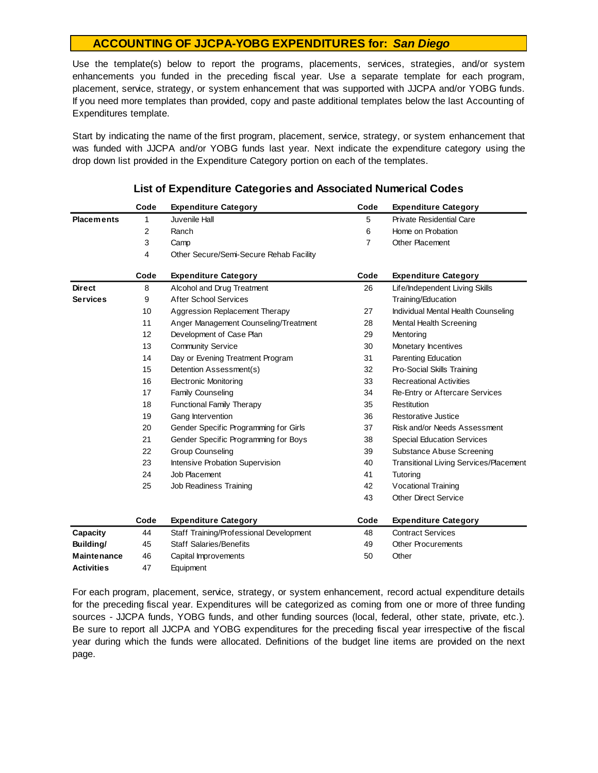Use the template(s) below to report the programs, placements, services, strategies, and/or system enhancements you funded in the preceding fiscal year. Use <sup>a</sup> separate template for each program, placement, service, strategy, or system enhancement that was supported with JJCPA and/or YOBG funds. If you need more templates than provided, copy and paste additional templates below the last Accounting of Expenditures template.

Start by indicating the name of the first program, placement, service, strategy, or system enhancement that was funded with JJCPA and/or YOBG funds last year. Next indicate the expenditure category using the drop down list provided in the Expenditure Category portion on each of the templates.

|                   | Code | <b>Expenditure Category</b>             | Code | <b>Expenditure Category</b>                   |
|-------------------|------|-----------------------------------------|------|-----------------------------------------------|
| <b>Placements</b> | 1    | Juvenile Hall                           | 5    | Private Residential Care                      |
|                   | 2    | Ranch                                   | 6    | Home on Probation                             |
|                   | 3    | Camp                                    | 7    | Other Placement                               |
|                   | 4    | Other Secure/Semi-Secure Rehab Facility |      |                                               |
|                   | Code | <b>Expenditure Category</b>             | Code | <b>Expenditure Category</b>                   |
| <b>Direct</b>     | 8    | Alcohol and Drug Treatment              | 26   | Life/Independent Living Skills                |
| <b>Services</b>   | 9    | <b>After School Services</b>            |      | Training/Education                            |
|                   | 10   | Aggression Replacement Therapy          | 27   | Individual Mental Health Counseling           |
|                   | 11   | Anger Management Counseling/Treatment   | 28   | Mental Health Screening                       |
|                   | 12   | Development of Case Plan                | 29   | Mentoring                                     |
|                   | 13   | <b>Community Service</b>                | 30   | Monetary Incentives                           |
|                   | 14   | Day or Evening Treatment Program        | 31   | Parenting Education                           |
|                   | 15   | Detention Assessment(s)                 | 32   | Pro-Social Skills Training                    |
|                   | 16   | <b>Electronic Monitoring</b>            | 33   | <b>Recreational Activities</b>                |
|                   | 17   | Family Counseling                       | 34   | Re-Entry or Aftercare Services                |
|                   | 18   | <b>Functional Family Therapy</b>        | 35   | Restitution                                   |
|                   | 19   | Gang Intervention                       | 36   | Restorative Justice                           |
|                   | 20   | Gender Specific Programming for Girls   | 37   | Risk and/or Needs Assessment                  |
|                   | 21   | Gender Specific Programming for Boys    | 38   | <b>Special Education Services</b>             |
|                   | 22   | <b>Group Counseling</b>                 | 39   | Substance Abuse Screening                     |
|                   | 23   | <b>Intensive Probation Supervision</b>  | 40   | <b>Transitional Living Services/Placement</b> |
|                   | 24   | Job Placement                           | 41   | Tutoring                                      |
|                   | 25   | Job Readiness Training                  | 42   | Vocational Training                           |
|                   |      |                                         | 43   | <b>Other Direct Service</b>                   |
|                   | Code | <b>Expenditure Category</b>             | Code | <b>Expenditure Category</b>                   |
| Capacity          | 44   | Staff Training/Professional Development | 48   | <b>Contract Services</b>                      |
| Building/         | 45   | <b>Staff Salaries/Benefits</b>          | 49   | Other Procurements                            |
| Maintenance       | 46   | Capital Improvements                    | 50   | Other                                         |
| <b>Activities</b> | 47   | Equipment                               |      |                                               |

#### **List of Expenditure Categories and Associated Numerical Codes**

For each program, placement, service, strategy, or system enhancement, record actual expenditure details for the preceding fiscal year. Expenditures will be categorized as coming from one or more of three funding sources - JJCPA funds, YOBG funds, and other funding sources (local, federal, other state, private, etc.). Be sure to report all JJCPA and YOBG expenditures for the preceding fiscal year irrespective of the fiscal year during which the funds were allocated. Definitions of the budget line items are provided on the next page.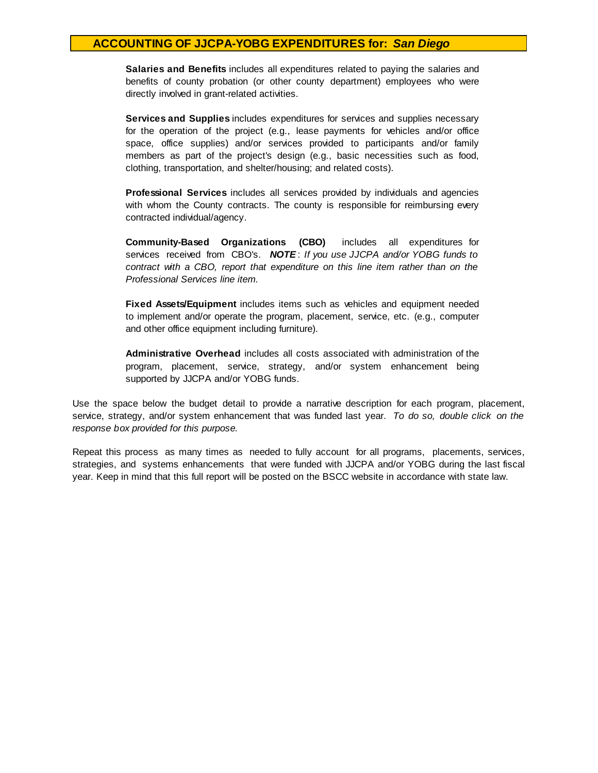**Salaries and Benefits** includes all expenditures related to paying the salaries and benefits of county probation (or other county department) employees who were directly involved in grant-related activities.

**Services and Supplies** includes expenditures for services and supplies necessary for the operation of the project (e.g., lease payments for vehicles and/or office space, office supplies) and/or services provided to participants and/or family members as part of the project's design (e.g., basic necessities such as food, clothing, transportation, and shelter/housing; and related costs).

**Professional Services** includes all services provided by individuals and agencies with whom the County contracts. The county is responsible for reimbursing every contracted individual/agency.

**Community-Based Organizations (CBO)** includes all expenditures for services received from CBO's. **NOTE**: If you use JJCPA and/or YOBG funds to *contract with <sup>a</sup> CBO, report that expenditure on this line item rather than on the Professional Services line item.*

**Fixed Assets/Equipment** includes items such as vehicles and equipment needed to implement and/or operate the program, placement, service, etc. (e.g., computer and other office equipment including furniture).

**Administrative Overhead** includes all costs associated with administration of the program, placement, service, strategy, and/or system enhancement being supported by JJCPA and/or YOBG funds.

Use the space below the budget detail to provide a narrative description for each program, placement, service, strategy, and/or system enhancement that was funded last year. *To do so, double click on the response box provided for this purpose.* 

Repeat this process as many times as needed to fully account for all programs, placements, services, strategies, and systems enhancements that were funded with JJCPA and/or YOBG during the last fiscal year. Keep in mind that this full report will be posted on the BSCC website in accordance with state law.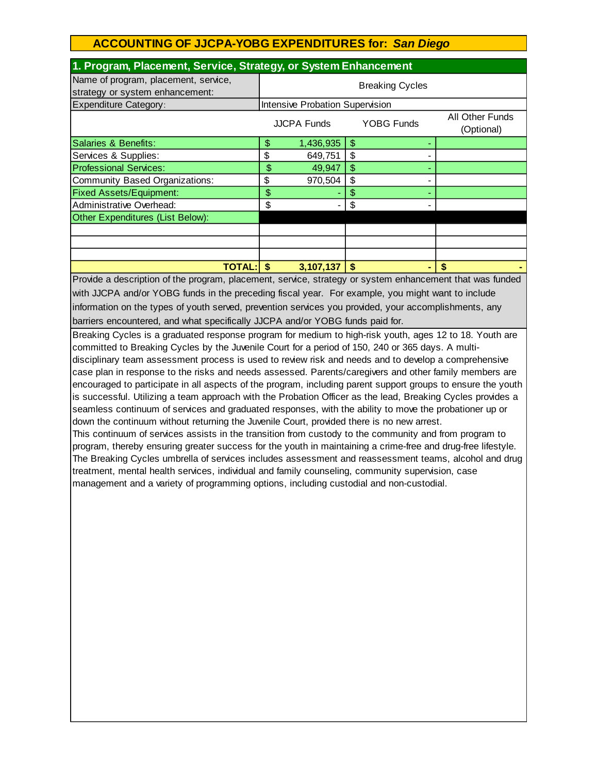| 1. Program, Placement, Service, Strategy, or System Enhancement         |                                                       |           |    |  |                 |
|-------------------------------------------------------------------------|-------------------------------------------------------|-----------|----|--|-----------------|
| Name of program, placement, service,<br>strategy or system enhancement: | <b>Breaking Cycles</b>                                |           |    |  |                 |
| <b>Expenditure Category:</b>                                            | Intensive Probation Supervision                       |           |    |  |                 |
|                                                                         | <b>YOBG Funds</b><br><b>JJCPA Funds</b><br>(Optional) |           |    |  | All Other Funds |
| Salaries & Benefits:                                                    | \$                                                    | 1,436,935 | \$ |  |                 |
| Services & Supplies:                                                    | \$                                                    | 649,751   | \$ |  |                 |
| <b>Professional Services:</b>                                           | \$                                                    | 49,947    | \$ |  |                 |
| Community Based Organizations:                                          | \$                                                    | 970,504   | \$ |  |                 |
| <b>Fixed Assets/Equipment:</b>                                          | \$                                                    |           | \$ |  |                 |
| Administrative Overhead:                                                | \$                                                    |           | \$ |  |                 |
| Other Expenditures (List Below):                                        |                                                       |           |    |  |                 |
|                                                                         |                                                       |           |    |  |                 |
|                                                                         |                                                       |           |    |  |                 |
|                                                                         |                                                       |           |    |  |                 |
| <b>TOTAL:</b>                                                           |                                                       | 3,107,137 |    |  |                 |

Provide a description of the program, placement, service, strategy or system enhancement that was funded with JJCPA and/or YOBG funds in the preceding fiscal year. For example, you might want to include information on the types of youth served, prevention services you provided, your accomplishments, any barriers encountered, and what specifically JJCPA and/or YOBG funds paid for.

Breaking Cycles is a graduated response program for medium to high-risk youth, ages 12 to 18. Youth are committed to Breaking Cycles by the Juvenile Court for a period of 150, 240 or 365 days. A multidisciplinary team assessment process is used to review risk and needs and to develop a comprehensive case plan in response to the risks and needs assessed. Parents/caregivers and other family members are encouraged to participate in all aspects of the program, including parent support groups to ensure the youth is successful. Utilizing a team approach with the Probation Officer as the lead, Breaking Cycles provides a seamless continuum of services and graduated responses, with the ability to move the probationer up or down the continuum without returning the Juvenile Court, provided there is no new arrest. This continuum of services assists in the transition from custody to the community and from program to program, thereby ensuring greater success for the youth in maintaining a crime-free and drug-free lifestyle. The Breaking Cycles umbrella of services includes assessment and reassessment teams, alcohol and drug treatment, mental health services, individual and family counseling, community supervision, case

management and a variety of programming options, including custodial and non-custodial.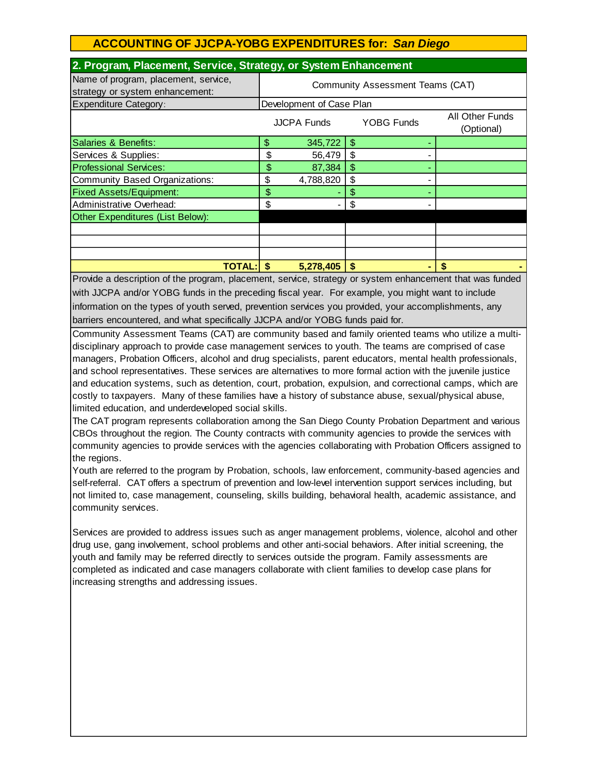| 2. Program, Placement, Service, Strategy, or System Enhancement         |                                  |           |                           |                               |  |
|-------------------------------------------------------------------------|----------------------------------|-----------|---------------------------|-------------------------------|--|
| Name of program, placement, service,<br>strategy or system enhancement: | Community Assessment Teams (CAT) |           |                           |                               |  |
| <b>Expenditure Category:</b>                                            | Development of Case Plan         |           |                           |                               |  |
|                                                                         | YOBG Funds<br>JJCPA Funds        |           |                           | All Other Funds<br>(Optional) |  |
| Salaries & Benefits:                                                    | \$                               | 345,722   | \$.                       |                               |  |
| Services & Supplies:                                                    | \$                               | 56,479    | \$                        |                               |  |
| <b>Professional Services:</b>                                           | \$                               | 87,384    | $\boldsymbol{\mathsf{S}}$ |                               |  |
| Community Based Organizations:                                          | \$                               | 4,788,820 | \$                        |                               |  |
| <b>Fixed Assets/Equipment:</b>                                          | \$                               |           | \$                        |                               |  |
| Administrative Overhead:                                                | \$                               |           | \$                        |                               |  |
| Other Expenditures (List Below):                                        |                                  |           |                           |                               |  |
|                                                                         |                                  |           |                           |                               |  |
|                                                                         |                                  |           |                           |                               |  |
|                                                                         |                                  |           |                           |                               |  |
| <b>TOTAL: \$</b>                                                        |                                  | 5,278,405 | \$.                       |                               |  |

Provide a description of the program, placement, service, strategy or system enhancement that was funded with JJCPA and/or YOBG funds in the preceding fiscal year. For example, you might want to include information on the types of youth served, prevention services you provided, your accomplishments, any barriers encountered, and what specifically JJCPA and/or YOBG funds paid for.

Community Assessment Teams (CAT) are community based and family oriented teams who utilize a multidisciplinary approach to provide case management services to youth. The teams are comprised of case managers, Probation Officers, alcohol and drug specialists, parent educators, mental health professionals, and school representatives. These services are alternatives to more formal action with the juvenile justice and education systems, such as detention, court, probation, expulsion, and correctional camps, which are costly to taxpayers. Many of these families have a history of substance abuse, sexual/physical abuse, limited education, and underdeveloped social skills.

The CAT program represents collaboration among the San Diego County Probation Department and various CBOs throughout the region. The County contracts with community agencies to provide the services with community agencies to provide services with the agencies collaborating with Probation Officers assigned to the regions.

Youth are referred to the program by Probation, schools, law enforcement, community-based agencies and self-referral. CAT offers a spectrum of prevention and low-level intervention support services including, but not limited to, case management, counseling, skills building, behavioral health, academic assistance, and community services.

Services are provided to address issues such as anger management problems, violence, alcohol and other drug use, gang involvement, school problems and other anti-social behaviors. After initial screening, the youth and family may be referred directly to services outside the program. Family assessments are completed as indicated and case managers collaborate with client families to develop case plans for increasing strengths and addressing issues.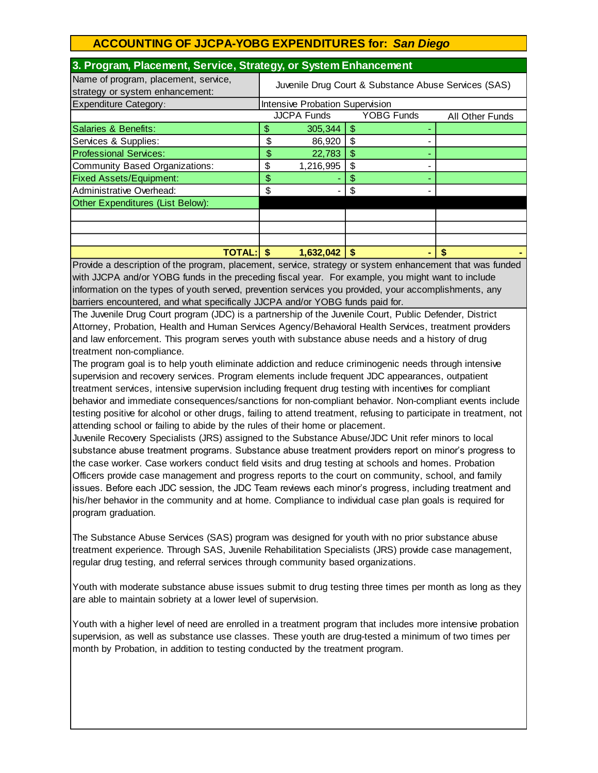| 3. Program, Placement, Service, Strategy, or System Emiancement         |                                                            |           |               |  |  |
|-------------------------------------------------------------------------|------------------------------------------------------------|-----------|---------------|--|--|
| Name of program, placement, service,<br>strategy or system enhancement: | Juvenile Drug Court & Substance Abuse Services (SAS)       |           |               |  |  |
| <b>Expenditure Category:</b>                                            | Intensive Probation Supervision                            |           |               |  |  |
|                                                                         | <b>JJCPA Funds</b><br><b>YOBG Funds</b><br>All Other Funds |           |               |  |  |
| Salaries & Benefits:                                                    | S                                                          | 305,344   | $\mathcal{S}$ |  |  |
| Services & Supplies:                                                    | \$                                                         | 86,920    | \$            |  |  |
| <b>Professional Services:</b>                                           | \$                                                         | 22,783    | \$            |  |  |
| Community Based Organizations:                                          | \$                                                         | 1,216,995 | \$            |  |  |
| <b>Fixed Assets/Equipment:</b>                                          | \$                                                         |           | \$            |  |  |
| Administrative Overhead:                                                | \$                                                         |           | \$            |  |  |
| Other Expenditures (List Below):                                        |                                                            |           |               |  |  |
|                                                                         |                                                            |           |               |  |  |
|                                                                         |                                                            |           |               |  |  |
|                                                                         |                                                            |           |               |  |  |
| <b>TOTAL:</b>                                                           | \$.                                                        | 1,632,042 | \$            |  |  |

#### **3. Program, Placement, Service, Strategy, or System Enhancement**

Provide a description of the program, placement, service, strategy or system enhancement that was funded with JJCPA and/or YOBG funds in the preceding fiscal year. For example, you might want to include information on the types of youth served, prevention services you provided, your accomplishments, any barriers encountered, and what specifically JJCPA and/or YOBG funds paid for.

The Juvenile Drug Court program (JDC) is a partnership of the Juvenile Court, Public Defender, District Attorney, Probation, Health and Human Services Agency/Behavioral Health Services, treatment providers and law enforcement. This program serves youth with substance abuse needs and a history of drug treatment non-compliance.

The program goal is to help youth eliminate addiction and reduce criminogenic needs through intensive supervision and recovery services. Program elements include frequent JDC appearances, outpatient treatment services, intensive supervision including frequent drug testing with incentives for compliant behavior and immediate consequences/sanctions for non-compliant behavior. Non-compliant events include testing positive for alcohol or other drugs, failing to attend treatment, refusing to participate in treatment, not attending school or failing to abide by the rules of their home or placement.

Juvenile Recovery Specialists (JRS) assigned to the Substance Abuse/JDC Unit refer minors to local substance abuse treatment programs. Substance abuse treatment providers report on minor's progress to the case worker. Case workers conduct field visits and drug testing at schools and homes. Probation Officers provide case management and progress reports to the court on community, school, and family issues. Before each JDC session, the JDC Team reviews each minor's progress, including treatment and his/her behavior in the community and at home. Compliance to individual case plan goals is required for program graduation.

The Substance Abuse Services (SAS) program was designed for youth with no prior substance abuse treatment experience. Through SAS, Juvenile Rehabilitation Specialists (JRS) provide case management, regular drug testing, and referral services through community based organizations.

Youth with moderate substance abuse issues submit to drug testing three times per month as long as they are able to maintain sobriety at a lower level of supervision.

Youth with a higher level of need are enrolled in a treatment program that includes more intensive probation supervision, as well as substance use classes. These youth are drug-tested a minimum of two times per month by Probation, in addition to testing conducted by the treatment program.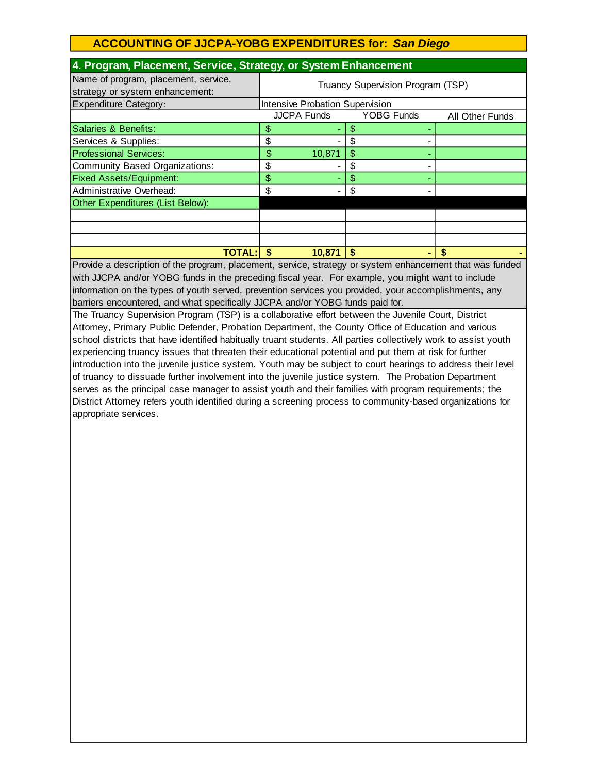| 4. Program, Placement, Service, Strategy, or System Enhancement         |                                   |                   |                 |  |  |  |  |
|-------------------------------------------------------------------------|-----------------------------------|-------------------|-----------------|--|--|--|--|
| Name of program, placement, service,<br>strategy or system enhancement: | Truancy Supervision Program (TSP) |                   |                 |  |  |  |  |
| Expenditure Category:                                                   | Intensive Probation Supervision   |                   |                 |  |  |  |  |
|                                                                         | <b>JJCPA Funds</b>                | <b>YOBG Funds</b> | All Other Funds |  |  |  |  |
| Salaries & Benefits:                                                    | \$                                | S                 |                 |  |  |  |  |
| Services & Supplies:                                                    | \$                                | S                 |                 |  |  |  |  |
| <b>Professional Services:</b>                                           | \$<br>10,871                      | \$                |                 |  |  |  |  |
| Community Based Organizations:                                          | \$                                | \$                |                 |  |  |  |  |
| <b>Fixed Assets/Equipment:</b>                                          | \$                                | \$                |                 |  |  |  |  |
| Administrative Overhead:                                                | \$                                | \$                |                 |  |  |  |  |
| Other Expenditures (List Below):                                        |                                   |                   |                 |  |  |  |  |
|                                                                         |                                   |                   |                 |  |  |  |  |
|                                                                         |                                   |                   |                 |  |  |  |  |
|                                                                         |                                   |                   |                 |  |  |  |  |
| <b>TOTAL:</b> I                                                         | -S<br>10,871                      | \$.               |                 |  |  |  |  |

Provide a description of the program, placement, service, strategy or system enhancement that was funded with JJCPA and/or YOBG funds in the preceding fiscal year. For example, you might want to include information on the types of youth served, prevention services you provided, your accomplishments, any barriers encountered, and what specifically JJCPA and/or YOBG funds paid for.

The Truancy Supervision Program (TSP) is a collaborative effort between the Juvenile Court, District Attorney, Primary Public Defender, Probation Department, the County Office of Education and various school districts that have identified habitually truant students. All parties collectively work to assist youth experiencing truancy issues that threaten their educational potential and put them at risk for further introduction into the juvenile justice system. Youth may be subject to court hearings to address their level of truancy to dissuade further involvement into the juvenile justice system. The Probation Department serves as the principal case manager to assist youth and their families with program requirements; the District Attorney refers youth identified during a screening process to community-based organizations for appropriate services.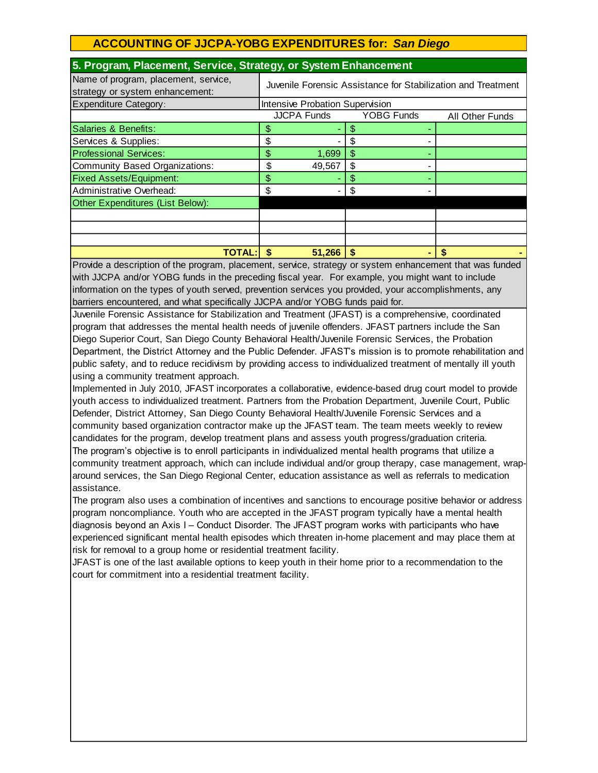| 3. Frogram, Flacement, Service, Strategy, or System Emilancement        |                                                              |                                 |    |  |  |
|-------------------------------------------------------------------------|--------------------------------------------------------------|---------------------------------|----|--|--|
| Name of program, placement, service,<br>strategy or system enhancement: | Juvenile Forensic Assistance for Stabilization and Treatment |                                 |    |  |  |
| <b>Expenditure Category:</b>                                            |                                                              | Intensive Probation Supervision |    |  |  |
|                                                                         | <b>JJCPA Funds</b><br><b>YOBG Funds</b><br>All Other Funds   |                                 |    |  |  |
| Salaries & Benefits:                                                    | \$                                                           |                                 |    |  |  |
| Services & Supplies:                                                    | \$                                                           |                                 |    |  |  |
| <b>Professional Services:</b>                                           | \$                                                           | 1,699                           | \$ |  |  |
| Community Based Organizations:                                          | \$                                                           | 49,567                          |    |  |  |
| <b>Fixed Assets/Equipment:</b>                                          | \$                                                           |                                 | S  |  |  |
| Administrative Overhead:                                                | \$                                                           |                                 |    |  |  |
| Other Expenditures (List Below):                                        |                                                              |                                 |    |  |  |
|                                                                         |                                                              |                                 |    |  |  |
|                                                                         |                                                              |                                 |    |  |  |
|                                                                         |                                                              |                                 |    |  |  |
| TOTAL:I                                                                 |                                                              | 51,266                          |    |  |  |

#### **5. Program, Placement, Service, Strategy, or System Enhancement**

Provide a description of the program, placement, service, strategy or system enhancement that was funded with JJCPA and/or YOBG funds in the preceding fiscal year. For example, you might want to include information on the types of youth served, prevention services you provided, your accomplishments, any barriers encountered, and what specifically JJCPA and/or YOBG funds paid for.

Juvenile Forensic Assistance for Stabilization and Treatment (JFAST) is a comprehensive, coordinated program that addresses the mental health needs of juvenile offenders. JFAST partners include the San Diego Superior Court, San Diego County Behavioral Health/Juvenile Forensic Services, the Probation Department, the District Attorney and the Public Defender. JFAST's mission is to promote rehabilitation and public safety, and to reduce recidivism by providing access to individualized treatment of mentally ill youth using a community treatment approach.

Implemented in July 2010, JFAST incorporates a collaborative, evidence-based drug court model to provide youth access to individualized treatment. Partners from the Probation Department, Juvenile Court, Public Defender, District Attorney, San Diego County Behavioral Health/Juvenile Forensic Services and a community based organization contractor make up the JFAST team. The team meets weekly to review candidates for the program, develop treatment plans and assess youth progress/graduation criteria. The program's objective is to enroll participants in individualized mental health programs that utilize a community treatment approach, which can include individual and/or group therapy, case management, wraparound services, the San Diego Regional Center, education assistance as well as referrals to medication assistance.

The program also uses a combination of incentives and sanctions to encourage positive behavior or address program noncompliance. Youth who are accepted in the JFAST program typically have a mental health diagnosis beyond an Axis I – Conduct Disorder. The JFAST program works with participants who have experienced significant mental health episodes which threaten in-home placement and may place them at risk for removal to a group home or residential treatment facility.

JFAST is one of the last available options to keep youth in their home prior to a recommendation to the court for commitment into a residential treatment facility.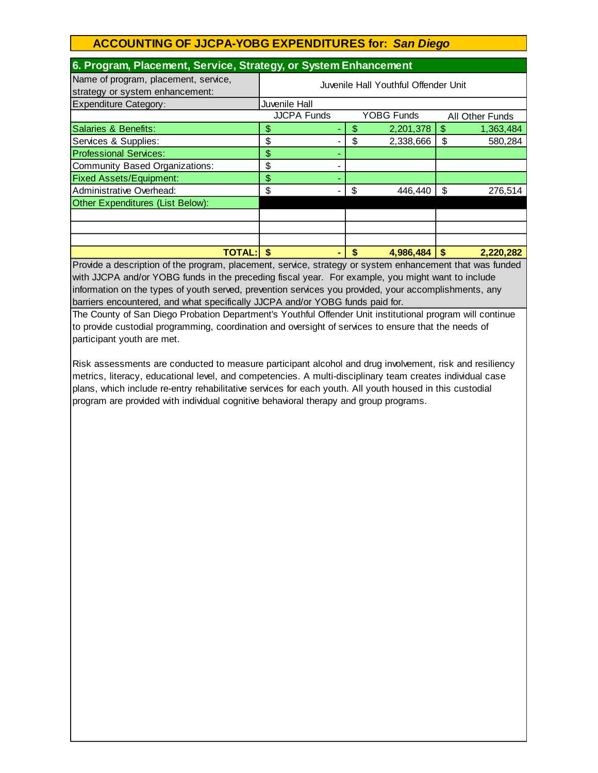| 6. Program, Placement, Service, Strategy, or System Enhancement         |                                      |    |                   |    |                 |
|-------------------------------------------------------------------------|--------------------------------------|----|-------------------|----|-----------------|
| Name of program, placement, service,<br>strategy or system enhancement: | Juvenile Hall Youthful Offender Unit |    |                   |    |                 |
| <b>Expenditure Category:</b>                                            | Juvenile Hall                        |    |                   |    |                 |
|                                                                         | <b>JJCPA Funds</b>                   |    | <b>YOBG Funds</b> |    | All Other Funds |
| Salaries & Benefits:                                                    | \$                                   | S  | 2,201,378         | \$ | 1,363,484       |
| Services & Supplies:                                                    | \$                                   | \$ | 2,338,666         | \$ | 580,284         |
| <b>Professional Services:</b>                                           | \$                                   |    |                   |    |                 |
| <b>Community Based Organizations:</b>                                   | \$<br>-                              |    |                   |    |                 |
| <b>Fixed Assets/Equipment:</b>                                          | \$<br>۰                              |    |                   |    |                 |
| Administrative Overhead:                                                | \$                                   | \$ | 446,440           | \$ | 276,514         |
| Other Expenditures (List Below):                                        |                                      |    |                   |    |                 |
|                                                                         |                                      |    |                   |    |                 |
|                                                                         |                                      |    |                   |    |                 |
|                                                                         |                                      |    |                   |    |                 |
| <b>TOTAL:I</b>                                                          | S<br>۰                               |    | 4,986,484         | S  | 2,220,282       |

Provide a description of the program, placement, service, strategy or system enhancement that was funded with JJCPA and/or YOBG funds in the preceding fiscal year. For example, you might want to include information on the types of youth served, prevention services you provided, your accomplishments, any barriers encountered, and what specifically JJCPA and/or YOBG funds paid for.

The County of San Diego Probation Department's Youthful Offender Unit institutional program will continue to provide custodial programming, coordination and oversight of services to ensure that the needs of participant youth are met.

Risk assessments are conducted to measure participant alcohol and drug involvement, risk and resiliency metrics, literacy, educational level, and competencies. A multi-disciplinary team creates individual case plans, which include re-entry rehabilitative services for each youth. All youth housed in this custodial program are provided with individual cognitive behavioral therapy and group programs.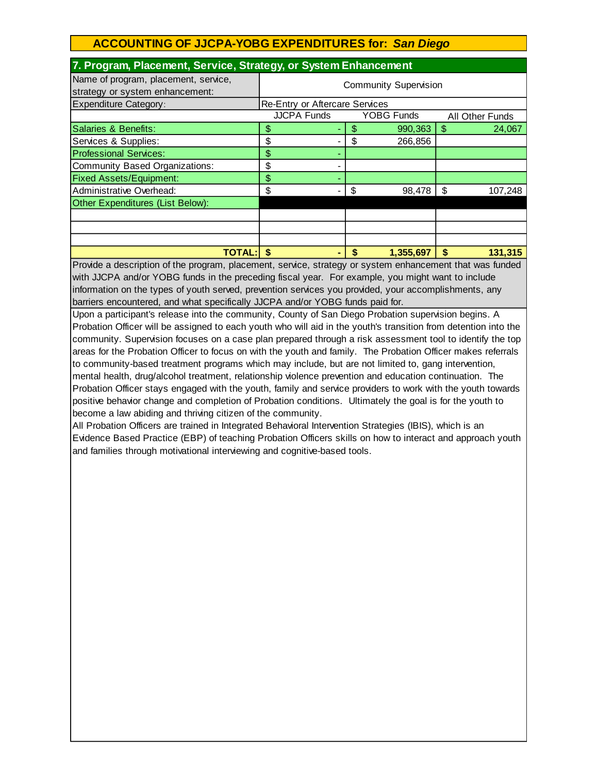| 7. Program, Placement, Service, Strategy, or System Enhancement         |                                                     |                 |               |  |  |  |
|-------------------------------------------------------------------------|-----------------------------------------------------|-----------------|---------------|--|--|--|
| Name of program, placement, service,<br>strategy or system enhancement: | <b>Community Supervision</b>                        |                 |               |  |  |  |
| <b>Expenditure Category:</b>                                            | <b>Re-Entry or Aftercare Services</b>               |                 |               |  |  |  |
|                                                                         | <b>JJCPA Funds</b><br>YOBG Funds<br>All Other Funds |                 |               |  |  |  |
| Salaries & Benefits:                                                    | \$                                                  | 990,363<br>\$   | \$.<br>24,067 |  |  |  |
| Services & Supplies:                                                    | \$                                                  | \$<br>266,856   |               |  |  |  |
| <b>Professional Services:</b>                                           | \$                                                  |                 |               |  |  |  |
| Community Based Organizations:                                          | \$                                                  |                 |               |  |  |  |
| <b>Fixed Assets/Equipment:</b>                                          | \$                                                  |                 |               |  |  |  |
| Administrative Overhead:                                                | \$                                                  | 98,478<br>S     | \$<br>107,248 |  |  |  |
| Other Expenditures (List Below):                                        |                                                     |                 |               |  |  |  |
|                                                                         |                                                     |                 |               |  |  |  |
|                                                                         |                                                     |                 |               |  |  |  |
|                                                                         |                                                     |                 |               |  |  |  |
| <b>TOTAL:</b>                                                           | \$                                                  | 1,355,697<br>\$ | \$<br>131,315 |  |  |  |

Provide a description of the program, placement, service, strategy or system enhancement that was funded with JJCPA and/or YOBG funds in the preceding fiscal year. For example, you might want to include information on the types of youth served, prevention services you provided, your accomplishments, any barriers encountered, and what specifically JJCPA and/or YOBG funds paid for.

Upon a participant's release into the community, County of San Diego Probation supervision begins. A Probation Officer will be assigned to each youth who will aid in the youth's transition from detention into the community. Supervision focuses on a case plan prepared through a risk assessment tool to identify the top areas for the Probation Officer to focus on with the youth and family. The Probation Officer makes referrals to community-based treatment programs which may include, but are not limited to, gang intervention, mental health, drug/alcohol treatment, relationship violence prevention and education continuation. The Probation Officer stays engaged with the youth, family and service providers to work with the youth towards positive behavior change and completion of Probation conditions. Ultimately the goal is for the youth to become a law abiding and thriving citizen of the community.

All Probation Officers are trained in Integrated Behavioral Intervention Strategies (IBIS), which is an Evidence Based Practice (EBP) of teaching Probation Officers skills on how to interact and approach youth and families through motivational interviewing and cognitive-based tools.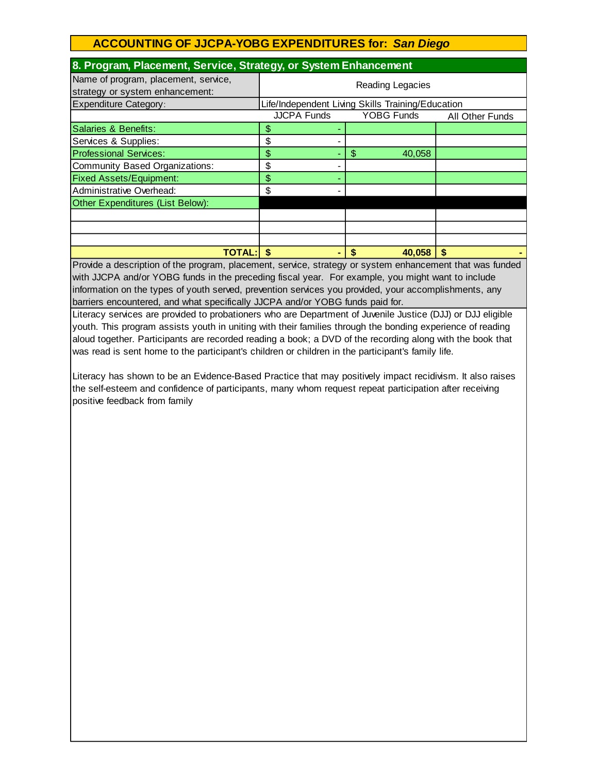| 8. Program, Placement, Service, Strategy, or System Enhancement         |                                                            |              |  |  |
|-------------------------------------------------------------------------|------------------------------------------------------------|--------------|--|--|
| Name of program, placement, service,<br>strategy or system enhancement: | Reading Legacies                                           |              |  |  |
| <b>Expenditure Category:</b>                                            | Life/Independent Living Skills Training/Education          |              |  |  |
|                                                                         | <b>JJCPA Funds</b><br><b>YOBG Funds</b><br>All Other Funds |              |  |  |
| Salaries & Benefits:                                                    | \$                                                         |              |  |  |
| Services & Supplies:                                                    | \$                                                         |              |  |  |
| <b>Professional Services:</b>                                           | \$                                                         | \$<br>40,058 |  |  |
| Community Based Organizations:                                          | \$                                                         |              |  |  |
| <b>Fixed Assets/Equipment:</b>                                          | \$                                                         |              |  |  |
| Administrative Overhead:                                                | \$                                                         |              |  |  |
| Other Expenditures (List Below):                                        |                                                            |              |  |  |
|                                                                         |                                                            |              |  |  |
|                                                                         |                                                            |              |  |  |
|                                                                         |                                                            |              |  |  |
| <b>TOTAL:</b>                                                           | S                                                          | S<br>40,058  |  |  |

Provide a description of the program, placement, service, strategy or system enhancement that was funded with JJCPA and/or YOBG funds in the preceding fiscal year. For example, you might want to include information on the types of youth served, prevention services you provided, your accomplishments, any barriers encountered, and what specifically JJCPA and/or YOBG funds paid for.

Literacy services are provided to probationers who are Department of Juvenile Justice (DJJ) or DJJ eligible youth. This program assists youth in uniting with their families through the bonding experience of reading aloud together. Participants are recorded reading a book; a DVD of the recording along with the book that was read is sent home to the participant's children or children in the participant's family life.

Literacy has shown to be an Evidence-Based Practice that may positively impact recidivism. It also raises the self-esteem and confidence of participants, many whom request repeat participation after receiving positive feedback from family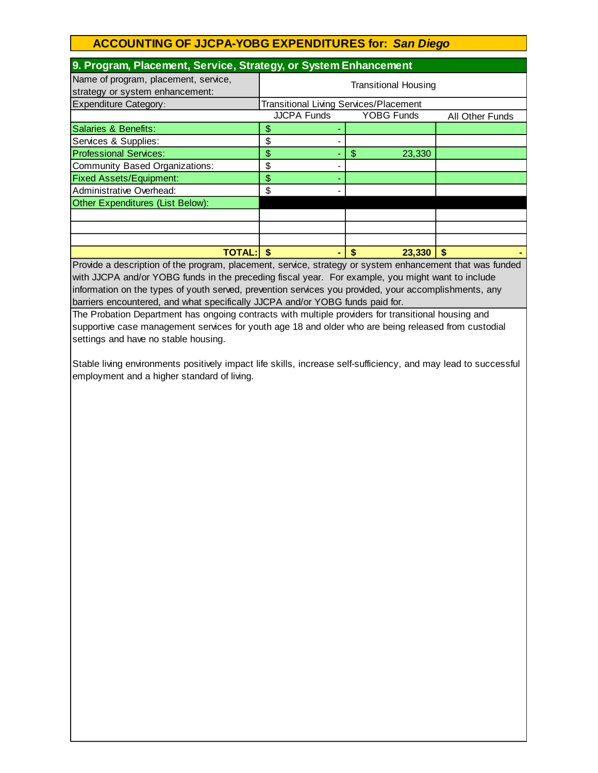| 9. Program, Placement, Service, Strategy, or System Enhancement         |                                                            |              |  |  |
|-------------------------------------------------------------------------|------------------------------------------------------------|--------------|--|--|
| Name of program, placement, service,<br>strategy or system enhancement: | <b>Transitional Housing</b>                                |              |  |  |
| <b>Expenditure Category:</b>                                            | <b>Transitional Living Services/Placement</b>              |              |  |  |
|                                                                         | <b>JJCPA Funds</b><br><b>YOBG Funds</b><br>All Other Funds |              |  |  |
| Salaries & Benefits:                                                    | \$                                                         |              |  |  |
| Services & Supplies:                                                    | \$                                                         |              |  |  |
| <b>Professional Services:</b>                                           | \$                                                         | \$<br>23,330 |  |  |
| Community Based Organizations:                                          | \$                                                         |              |  |  |
| <b>Fixed Assets/Equipment:</b>                                          | \$                                                         |              |  |  |
| Administrative Overhead:                                                | \$                                                         |              |  |  |
| Other Expenditures (List Below):                                        |                                                            |              |  |  |
|                                                                         |                                                            |              |  |  |
|                                                                         |                                                            |              |  |  |
|                                                                         |                                                            |              |  |  |
| TOTAL:IS                                                                |                                                            | 23,330       |  |  |

Provide a description of the program, placement, service, strategy or system enhancement that was funded with JJCPA and/or YOBG funds in the preceding fiscal year. For example, you might want to include information on the types of youth served, prevention services you provided, your accomplishments, any barriers encountered, and what specifically JJCPA and/or YOBG funds paid for.

The Probation Department has ongoing contracts with multiple providers for transitional housing and supportive case management services for youth age 18 and older who are being released from custodial settings and have no stable housing.

Stable living environments positively impact life skills, increase self-sufficiency, and may lead to successful employment and a higher standard of living.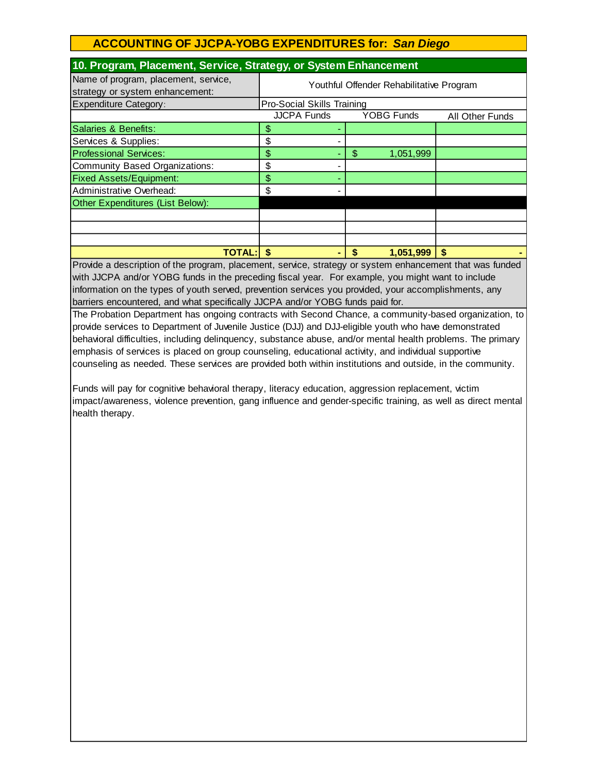| 10. Program, Placement, Service, Strategy, or System Enhancement        |                                                            |                 |    |  |
|-------------------------------------------------------------------------|------------------------------------------------------------|-----------------|----|--|
| Name of program, placement, service,<br>strategy or system enhancement: | Youthful Offender Rehabilitative Program                   |                 |    |  |
| <b>Expenditure Category:</b>                                            | <b>Pro-Social Skills Training</b>                          |                 |    |  |
|                                                                         | <b>JJCPA Funds</b><br><b>YOBG Funds</b><br>All Other Funds |                 |    |  |
| Salaries & Benefits:                                                    | \$                                                         |                 |    |  |
| Services & Supplies:                                                    | \$                                                         |                 |    |  |
| <b>Professional Services:</b>                                           | \$                                                         | \$<br>1,051,999 |    |  |
| Community Based Organizations:                                          | \$                                                         |                 |    |  |
| <b>Fixed Assets/Equipment:</b>                                          | \$                                                         |                 |    |  |
| Administrative Overhead:                                                | \$                                                         |                 |    |  |
| Other Expenditures (List Below):                                        |                                                            |                 |    |  |
|                                                                         |                                                            |                 |    |  |
|                                                                         |                                                            |                 |    |  |
|                                                                         |                                                            |                 |    |  |
| <b>TOTAL:</b>                                                           | \$                                                         | 1,051,999<br>S  | \$ |  |

Provide a description of the program, placement, service, strategy or system enhancement that was funded with JJCPA and/or YOBG funds in the preceding fiscal year. For example, you might want to include information on the types of youth served, prevention services you provided, your accomplishments, any barriers encountered, and what specifically JJCPA and/or YOBG funds paid for.

The Probation Department has ongoing contracts with Second Chance, a community-based organization, to provide services to Department of Juvenile Justice (DJJ) and DJJ-eligible youth who have demonstrated behavioral difficulties, including delinquency, substance abuse, and/or mental health problems. The primary emphasis of services is placed on group counseling, educational activity, and individual supportive counseling as needed. These services are provided both within institutions and outside, in the community.

Funds will pay for cognitive behavioral therapy, literacy education, aggression replacement, victim impact/awareness, violence prevention, gang influence and gender-specific training, as well as direct mental health therapy.